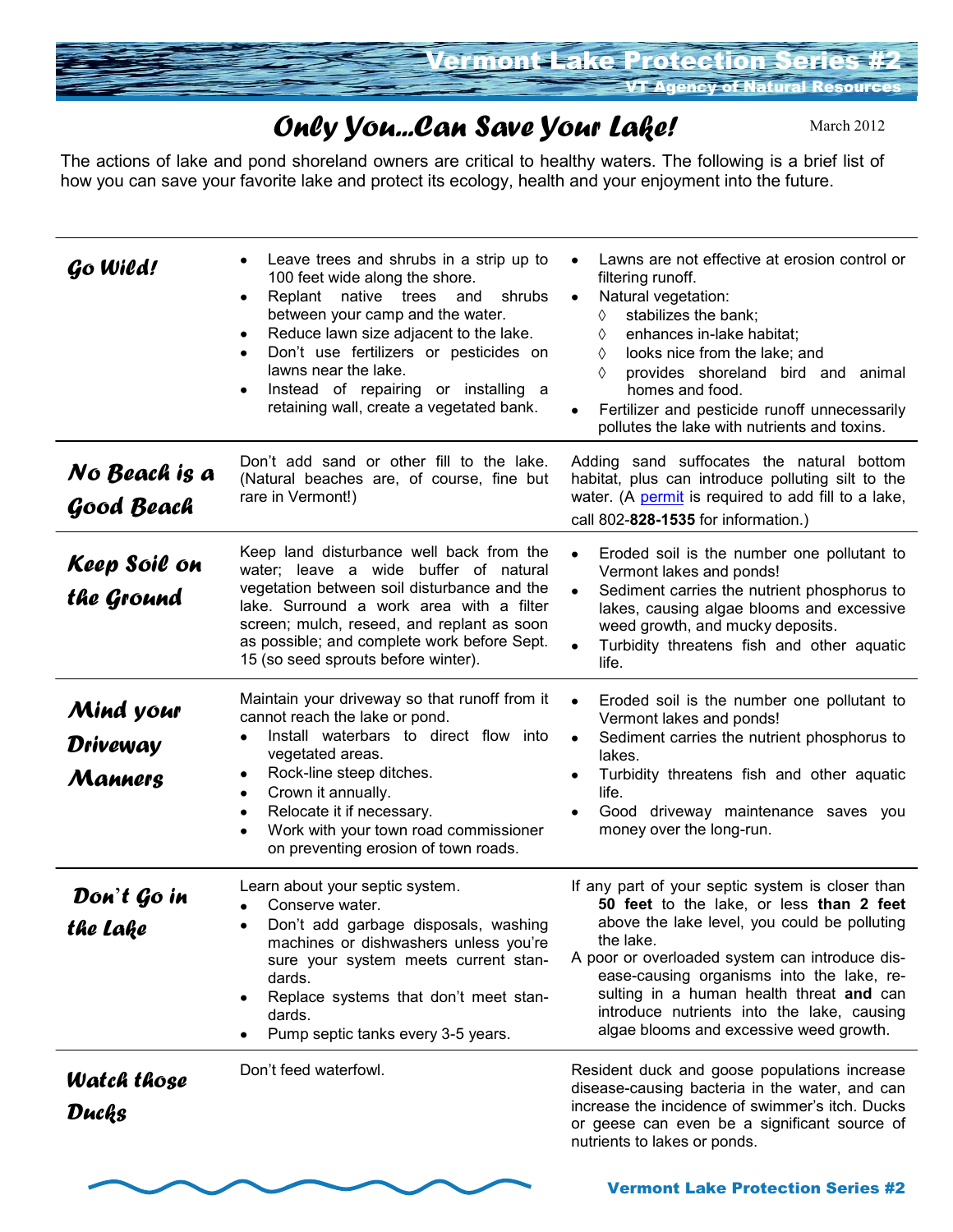

## *Only You...Can Save Your Lake!*

March 2012

The actions of lake and pond shoreland owners are critical to healthy waters. The following is a brief list of how you can save your favorite lake and protect its ecology, health and your enjoyment into the future.

| Go Wild!                                | Leave trees and shrubs in a strip up to<br>$\bullet$<br>100 feet wide along the shore.<br>Replant<br>native trees<br>and<br>shrubs<br>٠<br>between your camp and the water.<br>Reduce lawn size adjacent to the lake.<br>$\bullet$<br>Don't use fertilizers or pesticides on<br>$\bullet$<br>lawns near the lake.<br>Instead of repairing or installing a<br>$\bullet$<br>retaining wall, create a vegetated bank. | Lawns are not effective at erosion control or<br>filtering runoff.<br>Natural vegetation:<br>$\bullet$<br>stabilizes the bank;<br>♦<br>enhances in-lake habitat;<br>♦<br>looks nice from the lake; and<br>♦<br>provides shoreland bird and animal<br>♦<br>homes and food.<br>Fertilizer and pesticide runoff unnecessarily<br>$\bullet$<br>pollutes the lake with nutrients and toxins.       |
|-----------------------------------------|--------------------------------------------------------------------------------------------------------------------------------------------------------------------------------------------------------------------------------------------------------------------------------------------------------------------------------------------------------------------------------------------------------------------|-----------------------------------------------------------------------------------------------------------------------------------------------------------------------------------------------------------------------------------------------------------------------------------------------------------------------------------------------------------------------------------------------|
| No Beach is a<br>Good Beach             | Don't add sand or other fill to the lake.<br>(Natural beaches are, of course, fine but<br>rare in Vermont!)                                                                                                                                                                                                                                                                                                        | Adding sand suffocates the natural bottom<br>habitat, plus can introduce polluting silt to the<br>water. (A permit is required to add fill to a lake,<br>call 802-828-1535 for information.)                                                                                                                                                                                                  |
| Keep Soil on<br>the Ground              | Keep land disturbance well back from the<br>water; leave a wide buffer of natural<br>vegetation between soil disturbance and the<br>lake. Surround a work area with a filter<br>screen; mulch, reseed, and replant as soon<br>as possible; and complete work before Sept.<br>15 (so seed sprouts before winter).                                                                                                   | Eroded soil is the number one pollutant to<br>$\bullet$<br>Vermont lakes and ponds!<br>Sediment carries the nutrient phosphorus to<br>lakes, causing algae blooms and excessive<br>weed growth, and mucky deposits.<br>Turbidity threatens fish and other aquatic<br>life.                                                                                                                    |
| Mind your<br><b>Driveway</b><br>Manners | Maintain your driveway so that runoff from it<br>cannot reach the lake or pond.<br>Install waterbars to direct flow into<br>vegetated areas.<br>Rock-line steep ditches.<br>٠<br>Crown it annually.<br>$\bullet$<br>Relocate it if necessary.<br>$\bullet$<br>Work with your town road commissioner<br>$\bullet$<br>on preventing erosion of town roads.                                                           | Eroded soil is the number one pollutant to<br>Vermont lakes and ponds!<br>Sediment carries the nutrient phosphorus to<br>$\bullet$<br>lakes.<br>Turbidity threatens fish and other aquatic<br>life.<br>Good driveway maintenance saves you<br>money over the long-run.                                                                                                                        |
| Don't Go in<br>the Lake                 | Learn about your septic system.<br>Conserve water.<br>Don't add garbage disposals, washing<br>machines or dishwashers unless you're<br>sure your system meets current stan-<br>dards.<br>Replace systems that don't meet stan-<br>٠<br>dards.<br>Pump septic tanks every 3-5 years.                                                                                                                                | If any part of your septic system is closer than<br>50 feet to the lake, or less than 2 feet<br>above the lake level, you could be polluting<br>the lake.<br>A poor or overloaded system can introduce dis-<br>ease-causing organisms into the lake, re-<br>sulting in a human health threat and can<br>introduce nutrients into the lake, causing<br>algae blooms and excessive weed growth. |
| <b>Watch those</b><br>Ducks             | Don't feed waterfowl.                                                                                                                                                                                                                                                                                                                                                                                              | Resident duck and goose populations increase<br>disease-causing bacteria in the water, and can<br>increase the incidence of swimmer's itch. Ducks<br>or geese can even be a significant source of<br>nutrients to lakes or ponds.                                                                                                                                                             |